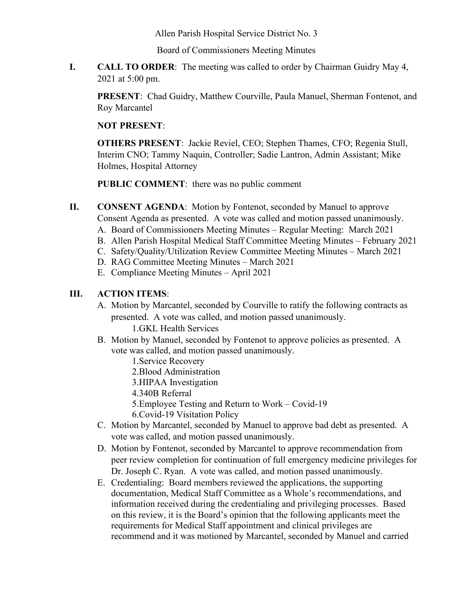Allen Parish Hospital Service District No. 3

Board of Commissioners Meeting Minutes

**I. CALL TO ORDER**: The meeting was called to order by Chairman Guidry May 4, 2021 at 5:00 pm.

**PRESENT**: Chad Guidry, Matthew Courville, Paula Manuel, Sherman Fontenot, and Roy Marcantel

## **NOT PRESENT**:

**OTHERS PRESENT**: Jackie Reviel, CEO; Stephen Thames, CFO; Regenia Stull, Interim CNO; Tammy Naquin, Controller; Sadie Lantron, Admin Assistant; Mike Holmes, Hospital Attorney

**PUBLIC COMMENT**: there was no public comment

**II. CONSENT AGENDA**: Motion by Fontenot, seconded by Manuel to approve Consent Agenda as presented. A vote was called and motion passed unanimously.

- A. Board of Commissioners Meeting Minutes Regular Meeting: March 2021
- B. Allen Parish Hospital Medical Staff Committee Meeting Minutes February 2021
- C. Safety/Quality/Utilization Review Committee Meeting Minutes March 2021
- D. RAG Committee Meeting Minutes March 2021
- E. Compliance Meeting Minutes April 2021

## **III. ACTION ITEMS**:

A. Motion by Marcantel, seconded by Courville to ratify the following contracts as presented. A vote was called, and motion passed unanimously.

1.GKL Health Services

- B. Motion by Manuel, seconded by Fontenot to approve policies as presented. A vote was called, and motion passed unanimously.
	- 1.Service Recovery
	- 2.Blood Administration
	- 3.HIPAA Investigation
	- 4.340B Referral
	- 5.Employee Testing and Return to Work Covid-19
	- 6.Covid-19 Visitation Policy
- C. Motion by Marcantel, seconded by Manuel to approve bad debt as presented. A vote was called, and motion passed unanimously.
- D. Motion by Fontenot, seconded by Marcantel to approve recommendation from peer review completion for continuation of full emergency medicine privileges for Dr. Joseph C. Ryan. A vote was called, and motion passed unanimously.
- E. Credentialing: Board members reviewed the applications, the supporting documentation, Medical Staff Committee as a Whole's recommendations, and information received during the credentialing and privileging processes. Based on this review, it is the Board's opinion that the following applicants meet the requirements for Medical Staff appointment and clinical privileges are recommend and it was motioned by Marcantel, seconded by Manuel and carried